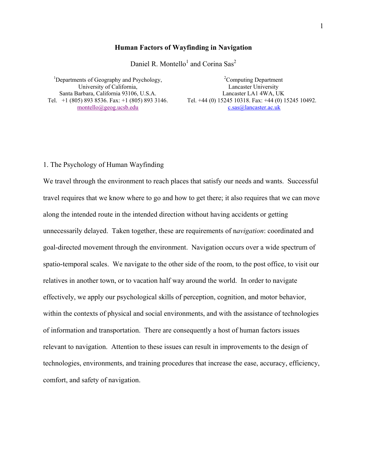### Human Factors of Wayfinding in Navigation

Daniel R. Montello<sup>1</sup> and Corina Sas<sup>2</sup>

<sup>1</sup>Departments of Geography and Psychology, University of California, Santa Barbara, California 93106, U.S.A. Tel. +1 (805) 893 8536. Fax: +1 (805) 893 3146. montello@geog.ucsb.edu

<sup>2</sup>Computing Department Lancaster University Lancaster LA1 4WA, UK Tel. +44 (0) 15245 10318. Fax: +44 (0) 15245 10492. c.sas@lancaster.ac.uk

# 1. The Psychology of Human Wayfinding

We travel through the environment to reach places that satisfy our needs and wants. Successful travel requires that we know where to go and how to get there; it also requires that we can move along the intended route in the intended direction without having accidents or getting unnecessarily delayed. Taken together, these are requirements of navigation: coordinated and goal-directed movement through the environment. Navigation occurs over a wide spectrum of spatio-temporal scales. We navigate to the other side of the room, to the post office, to visit our relatives in another town, or to vacation half way around the world. In order to navigate effectively, we apply our psychological skills of perception, cognition, and motor behavior, within the contexts of physical and social environments, and with the assistance of technologies of information and transportation. There are consequently a host of human factors issues relevant to navigation. Attention to these issues can result in improvements to the design of technologies, environments, and training procedures that increase the ease, accuracy, efficiency, comfort, and safety of navigation.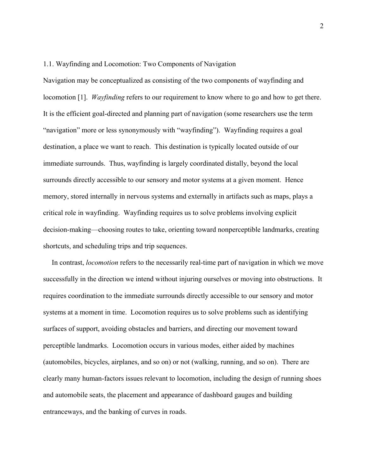#### 1.1. Wayfinding and Locomotion: Two Components of Navigation

Navigation may be conceptualized as consisting of the two components of wayfinding and locomotion [1]. *Wayfinding* refers to our requirement to know where to go and how to get there. It is the efficient goal-directed and planning part of navigation (some researchers use the term "navigation" more or less synonymously with "wayfinding"). Wayfinding requires a goal destination, a place we want to reach. This destination is typically located outside of our immediate surrounds. Thus, wayfinding is largely coordinated distally, beyond the local surrounds directly accessible to our sensory and motor systems at a given moment. Hence memory, stored internally in nervous systems and externally in artifacts such as maps, plays a critical role in wayfinding. Wayfinding requires us to solve problems involving explicit decision-making—choosing routes to take, orienting toward nonperceptible landmarks, creating shortcuts, and scheduling trips and trip sequences.

In contrast, *locomotion* refers to the necessarily real-time part of navigation in which we move successfully in the direction we intend without injuring ourselves or moving into obstructions. It requires coordination to the immediate surrounds directly accessible to our sensory and motor systems at a moment in time. Locomotion requires us to solve problems such as identifying surfaces of support, avoiding obstacles and barriers, and directing our movement toward perceptible landmarks. Locomotion occurs in various modes, either aided by machines (automobiles, bicycles, airplanes, and so on) or not (walking, running, and so on). There are clearly many human-factors issues relevant to locomotion, including the design of running shoes and automobile seats, the placement and appearance of dashboard gauges and building entranceways, and the banking of curves in roads.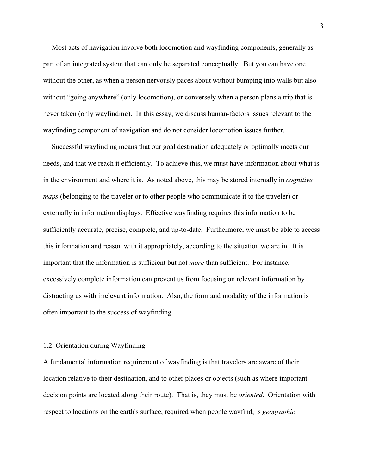Most acts of navigation involve both locomotion and wayfinding components, generally as part of an integrated system that can only be separated conceptually. But you can have one without the other, as when a person nervously paces about without bumping into walls but also without "going anywhere" (only locomotion), or conversely when a person plans a trip that is never taken (only wayfinding). In this essay, we discuss human-factors issues relevant to the wayfinding component of navigation and do not consider locomotion issues further.

Successful wayfinding means that our goal destination adequately or optimally meets our needs, and that we reach it efficiently. To achieve this, we must have information about what is in the environment and where it is. As noted above, this may be stored internally in cognitive maps (belonging to the traveler or to other people who communicate it to the traveler) or externally in information displays. Effective wayfinding requires this information to be sufficiently accurate, precise, complete, and up-to-date. Furthermore, we must be able to access this information and reason with it appropriately, according to the situation we are in. It is important that the information is sufficient but not *more* than sufficient. For instance, excessively complete information can prevent us from focusing on relevant information by distracting us with irrelevant information. Also, the form and modality of the information is often important to the success of wayfinding.

#### 1.2. Orientation during Wayfinding

A fundamental information requirement of wayfinding is that travelers are aware of their location relative to their destination, and to other places or objects (such as where important decision points are located along their route). That is, they must be oriented. Orientation with respect to locations on the earth's surface, required when people wayfind, is *geographic*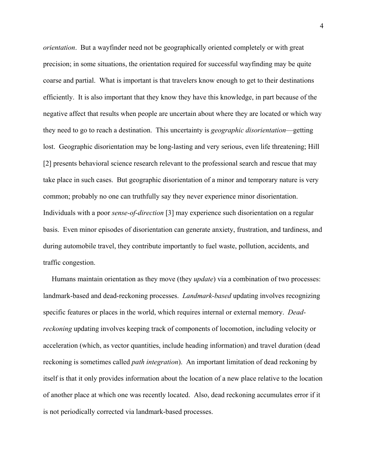orientation. But a wayfinder need not be geographically oriented completely or with great precision; in some situations, the orientation required for successful wayfinding may be quite coarse and partial. What is important is that travelers know enough to get to their destinations efficiently. It is also important that they know they have this knowledge, in part because of the negative affect that results when people are uncertain about where they are located or which way they need to go to reach a destination. This uncertainty is geographic disorientation—getting lost. Geographic disorientation may be long-lasting and very serious, even life threatening; Hill [2] presents behavioral science research relevant to the professional search and rescue that may take place in such cases. But geographic disorientation of a minor and temporary nature is very common; probably no one can truthfully say they never experience minor disorientation. Individuals with a poor sense-of-direction [3] may experience such disorientation on a regular basis. Even minor episodes of disorientation can generate anxiety, frustration, and tardiness, and during automobile travel, they contribute importantly to fuel waste, pollution, accidents, and traffic congestion.

Humans maintain orientation as they move (they *update*) via a combination of two processes: landmark-based and dead-reckoning processes. Landmark-based updating involves recognizing specific features or places in the world, which requires internal or external memory. *Dead*reckoning updating involves keeping track of components of locomotion, including velocity or acceleration (which, as vector quantities, include heading information) and travel duration (dead reckoning is sometimes called *path integration*). An important limitation of dead reckoning by itself is that it only provides information about the location of a new place relative to the location of another place at which one was recently located. Also, dead reckoning accumulates error if it is not periodically corrected via landmark-based processes.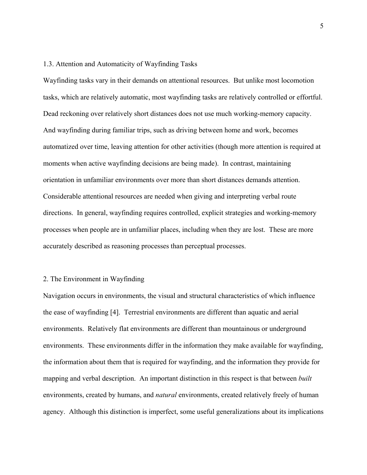## 1.3. Attention and Automaticity of Wayfinding Tasks

Wayfinding tasks vary in their demands on attentional resources. But unlike most locomotion tasks, which are relatively automatic, most wayfinding tasks are relatively controlled or effortful. Dead reckoning over relatively short distances does not use much working-memory capacity. And wayfinding during familiar trips, such as driving between home and work, becomes automatized over time, leaving attention for other activities (though more attention is required at moments when active wayfinding decisions are being made). In contrast, maintaining orientation in unfamiliar environments over more than short distances demands attention. Considerable attentional resources are needed when giving and interpreting verbal route directions. In general, wayfinding requires controlled, explicit strategies and working-memory processes when people are in unfamiliar places, including when they are lost. These are more accurately described as reasoning processes than perceptual processes.

### 2. The Environment in Wayfinding

Navigation occurs in environments, the visual and structural characteristics of which influence the ease of wayfinding [4]. Terrestrial environments are different than aquatic and aerial environments. Relatively flat environments are different than mountainous or underground environments. These environments differ in the information they make available for wayfinding, the information about them that is required for wayfinding, and the information they provide for mapping and verbal description. An important distinction in this respect is that between *built* environments, created by humans, and *natural* environments, created relatively freely of human agency. Although this distinction is imperfect, some useful generalizations about its implications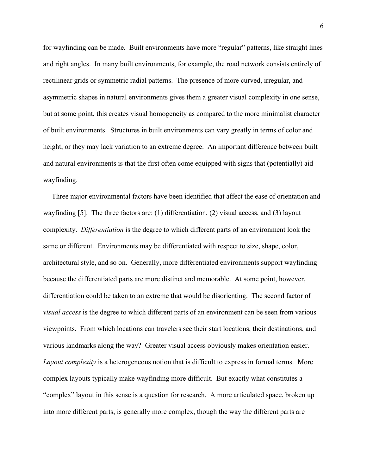for wayfinding can be made. Built environments have more "regular" patterns, like straight lines and right angles. In many built environments, for example, the road network consists entirely of rectilinear grids or symmetric radial patterns. The presence of more curved, irregular, and asymmetric shapes in natural environments gives them a greater visual complexity in one sense, but at some point, this creates visual homogeneity as compared to the more minimalist character of built environments. Structures in built environments can vary greatly in terms of color and height, or they may lack variation to an extreme degree. An important difference between built and natural environments is that the first often come equipped with signs that (potentially) aid wayfinding.

Three major environmental factors have been identified that affect the ease of orientation and wayfinding [5]. The three factors are: (1) differentiation, (2) visual access, and (3) layout complexity. Differentiation is the degree to which different parts of an environment look the same or different. Environments may be differentiated with respect to size, shape, color, architectural style, and so on. Generally, more differentiated environments support wayfinding because the differentiated parts are more distinct and memorable. At some point, however, differentiation could be taken to an extreme that would be disorienting. The second factor of visual access is the degree to which different parts of an environment can be seen from various viewpoints. From which locations can travelers see their start locations, their destinations, and various landmarks along the way? Greater visual access obviously makes orientation easier. Layout complexity is a heterogeneous notion that is difficult to express in formal terms. More complex layouts typically make wayfinding more difficult. But exactly what constitutes a "complex" layout in this sense is a question for research. A more articulated space, broken up into more different parts, is generally more complex, though the way the different parts are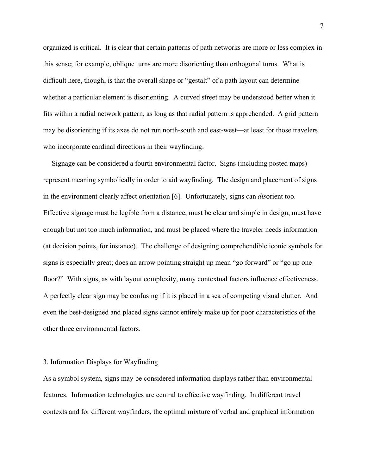organized is critical. It is clear that certain patterns of path networks are more or less complex in this sense; for example, oblique turns are more disorienting than orthogonal turns. What is difficult here, though, is that the overall shape or "gestalt" of a path layout can determine whether a particular element is disorienting. A curved street may be understood better when it fits within a radial network pattern, as long as that radial pattern is apprehended. A grid pattern may be disorienting if its axes do not run north-south and east-west—at least for those travelers who incorporate cardinal directions in their wayfinding.

Signage can be considered a fourth environmental factor. Signs (including posted maps) represent meaning symbolically in order to aid wayfinding. The design and placement of signs in the environment clearly affect orientation [6]. Unfortunately, signs can disorient too. Effective signage must be legible from a distance, must be clear and simple in design, must have enough but not too much information, and must be placed where the traveler needs information (at decision points, for instance). The challenge of designing comprehendible iconic symbols for signs is especially great; does an arrow pointing straight up mean "go forward" or "go up one floor?" With signs, as with layout complexity, many contextual factors influence effectiveness. A perfectly clear sign may be confusing if it is placed in a sea of competing visual clutter. And even the best-designed and placed signs cannot entirely make up for poor characteristics of the other three environmental factors.

### 3. Information Displays for Wayfinding

As a symbol system, signs may be considered information displays rather than environmental features. Information technologies are central to effective wayfinding. In different travel contexts and for different wayfinders, the optimal mixture of verbal and graphical information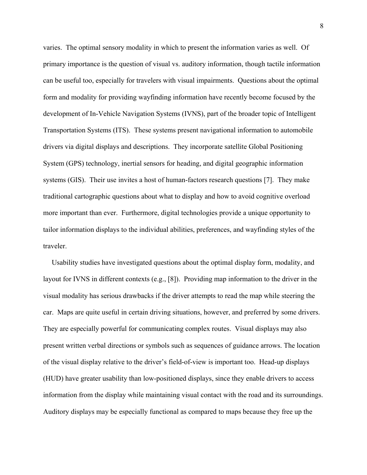varies. The optimal sensory modality in which to present the information varies as well. Of primary importance is the question of visual vs. auditory information, though tactile information can be useful too, especially for travelers with visual impairments. Questions about the optimal form and modality for providing wayfinding information have recently become focused by the development of In-Vehicle Navigation Systems (IVNS), part of the broader topic of Intelligent Transportation Systems (ITS). These systems present navigational information to automobile drivers via digital displays and descriptions. They incorporate satellite Global Positioning System (GPS) technology, inertial sensors for heading, and digital geographic information systems (GIS). Their use invites a host of human-factors research questions [7]. They make traditional cartographic questions about what to display and how to avoid cognitive overload more important than ever. Furthermore, digital technologies provide a unique opportunity to tailor information displays to the individual abilities, preferences, and wayfinding styles of the traveler.

Usability studies have investigated questions about the optimal display form, modality, and layout for IVNS in different contexts (e.g., [8]). Providing map information to the driver in the visual modality has serious drawbacks if the driver attempts to read the map while steering the car. Maps are quite useful in certain driving situations, however, and preferred by some drivers. They are especially powerful for communicating complex routes. Visual displays may also present written verbal directions or symbols such as sequences of guidance arrows. The location of the visual display relative to the driver's field-of-view is important too. Head-up displays (HUD) have greater usability than low-positioned displays, since they enable drivers to access information from the display while maintaining visual contact with the road and its surroundings. Auditory displays may be especially functional as compared to maps because they free up the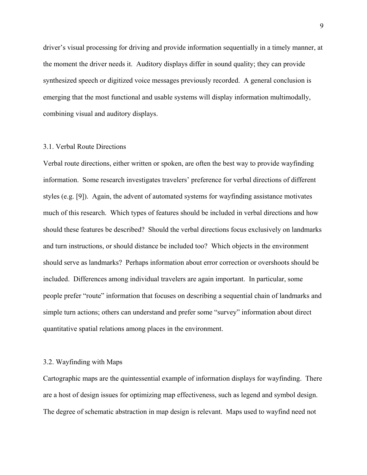driver's visual processing for driving and provide information sequentially in a timely manner, at the moment the driver needs it. Auditory displays differ in sound quality; they can provide synthesized speech or digitized voice messages previously recorded. A general conclusion is emerging that the most functional and usable systems will display information multimodally, combining visual and auditory displays.

### 3.1. Verbal Route Directions

Verbal route directions, either written or spoken, are often the best way to provide wayfinding information. Some research investigates travelers' preference for verbal directions of different styles (e.g. [9]). Again, the advent of automated systems for wayfinding assistance motivates much of this research. Which types of features should be included in verbal directions and how should these features be described? Should the verbal directions focus exclusively on landmarks and turn instructions, or should distance be included too? Which objects in the environment should serve as landmarks? Perhaps information about error correction or overshoots should be included. Differences among individual travelers are again important. In particular, some people prefer "route" information that focuses on describing a sequential chain of landmarks and simple turn actions; others can understand and prefer some "survey" information about direct quantitative spatial relations among places in the environment.

### 3.2. Wayfinding with Maps

Cartographic maps are the quintessential example of information displays for wayfinding. There are a host of design issues for optimizing map effectiveness, such as legend and symbol design. The degree of schematic abstraction in map design is relevant. Maps used to wayfind need not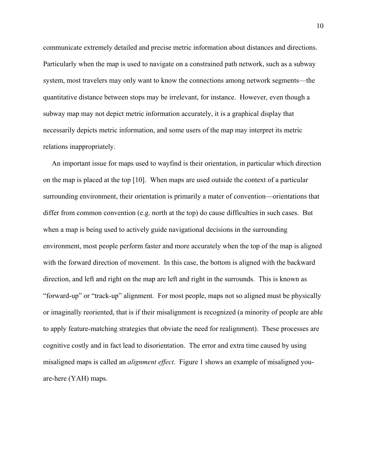communicate extremely detailed and precise metric information about distances and directions. Particularly when the map is used to navigate on a constrained path network, such as a subway system, most travelers may only want to know the connections among network segments—the quantitative distance between stops may be irrelevant, for instance. However, even though a subway map may not depict metric information accurately, it is a graphical display that necessarily depicts metric information, and some users of the map may interpret its metric relations inappropriately.

An important issue for maps used to wayfind is their orientation, in particular which direction on the map is placed at the top [10]. When maps are used outside the context of a particular surrounding environment, their orientation is primarily a mater of convention—orientations that differ from common convention (e.g. north at the top) do cause difficulties in such cases. But when a map is being used to actively guide navigational decisions in the surrounding environment, most people perform faster and more accurately when the top of the map is aligned with the forward direction of movement. In this case, the bottom is aligned with the backward direction, and left and right on the map are left and right in the surrounds. This is known as "forward-up" or "track-up" alignment. For most people, maps not so aligned must be physically or imaginally reoriented, that is if their misalignment is recognized (a minority of people are able to apply feature-matching strategies that obviate the need for realignment). These processes are cognitive costly and in fact lead to disorientation. The error and extra time caused by using misaligned maps is called an *alignment effect*. Figure 1 shows an example of misaligned youare-here (YAH) maps.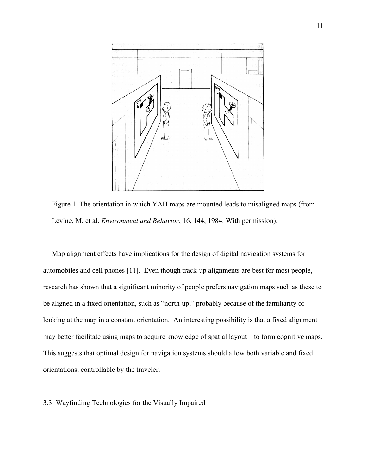

Figure 1. The orientation in which YAH maps are mounted leads to misaligned maps (from Levine, M. et al. *Environment and Behavior*, 16, 144, 1984. With permission).

Map alignment effects have implications for the design of digital navigation systems for automobiles and cell phones [11]. Even though track-up alignments are best for most people, research has shown that a significant minority of people prefers navigation maps such as these to be aligned in a fixed orientation, such as "north-up," probably because of the familiarity of looking at the map in a constant orientation. An interesting possibility is that a fixed alignment may better facilitate using maps to acquire knowledge of spatial layout—to form cognitive maps. This suggests that optimal design for navigation systems should allow both variable and fixed orientations, controllable by the traveler.

## 3.3. Wayfinding Technologies for the Visually Impaired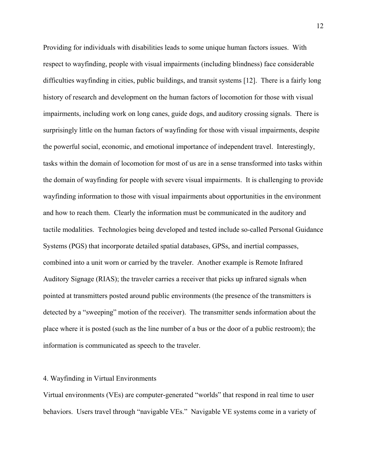Providing for individuals with disabilities leads to some unique human factors issues. With respect to wayfinding, people with visual impairments (including blindness) face considerable difficulties wayfinding in cities, public buildings, and transit systems [12]. There is a fairly long history of research and development on the human factors of locomotion for those with visual impairments, including work on long canes, guide dogs, and auditory crossing signals. There is surprisingly little on the human factors of wayfinding for those with visual impairments, despite the powerful social, economic, and emotional importance of independent travel. Interestingly, tasks within the domain of locomotion for most of us are in a sense transformed into tasks within the domain of wayfinding for people with severe visual impairments. It is challenging to provide wayfinding information to those with visual impairments about opportunities in the environment and how to reach them. Clearly the information must be communicated in the auditory and tactile modalities. Technologies being developed and tested include so-called Personal Guidance Systems (PGS) that incorporate detailed spatial databases, GPSs, and inertial compasses, combined into a unit worn or carried by the traveler. Another example is Remote Infrared Auditory Signage (RIAS); the traveler carries a receiver that picks up infrared signals when pointed at transmitters posted around public environments (the presence of the transmitters is detected by a "sweeping" motion of the receiver). The transmitter sends information about the place where it is posted (such as the line number of a bus or the door of a public restroom); the information is communicated as speech to the traveler.

## 4. Wayfinding in Virtual Environments

Virtual environments (VEs) are computer-generated "worlds" that respond in real time to user behaviors. Users travel through "navigable VEs." Navigable VE systems come in a variety of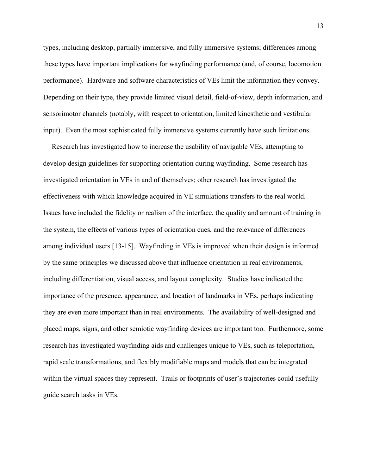types, including desktop, partially immersive, and fully immersive systems; differences among these types have important implications for wayfinding performance (and, of course, locomotion performance). Hardware and software characteristics of VEs limit the information they convey. Depending on their type, they provide limited visual detail, field-of-view, depth information, and sensorimotor channels (notably, with respect to orientation, limited kinesthetic and vestibular input). Even the most sophisticated fully immersive systems currently have such limitations.

Research has investigated how to increase the usability of navigable VEs, attempting to develop design guidelines for supporting orientation during wayfinding. Some research has investigated orientation in VEs in and of themselves; other research has investigated the effectiveness with which knowledge acquired in VE simulations transfers to the real world. Issues have included the fidelity or realism of the interface, the quality and amount of training in the system, the effects of various types of orientation cues, and the relevance of differences among individual users [13-15]. Wayfinding in VEs is improved when their design is informed by the same principles we discussed above that influence orientation in real environments, including differentiation, visual access, and layout complexity. Studies have indicated the importance of the presence, appearance, and location of landmarks in VEs, perhaps indicating they are even more important than in real environments. The availability of well-designed and placed maps, signs, and other semiotic wayfinding devices are important too. Furthermore, some research has investigated wayfinding aids and challenges unique to VEs, such as teleportation, rapid scale transformations, and flexibly modifiable maps and models that can be integrated within the virtual spaces they represent. Trails or footprints of user's trajectories could usefully guide search tasks in VEs.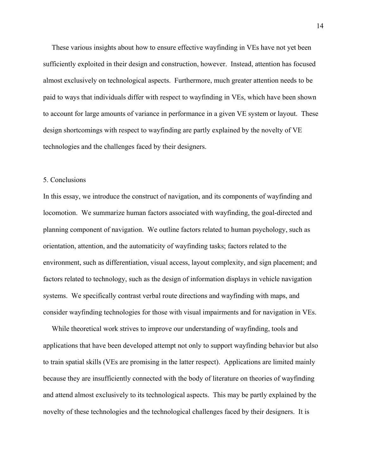These various insights about how to ensure effective wayfinding in VEs have not yet been sufficiently exploited in their design and construction, however. Instead, attention has focused almost exclusively on technological aspects. Furthermore, much greater attention needs to be paid to ways that individuals differ with respect to wayfinding in VEs, which have been shown to account for large amounts of variance in performance in a given VE system or layout. These design shortcomings with respect to wayfinding are partly explained by the novelty of VE technologies and the challenges faced by their designers.

### 5. Conclusions

In this essay, we introduce the construct of navigation, and its components of wayfinding and locomotion. We summarize human factors associated with wayfinding, the goal-directed and planning component of navigation. We outline factors related to human psychology, such as orientation, attention, and the automaticity of wayfinding tasks; factors related to the environment, such as differentiation, visual access, layout complexity, and sign placement; and factors related to technology, such as the design of information displays in vehicle navigation systems. We specifically contrast verbal route directions and wayfinding with maps, and consider wayfinding technologies for those with visual impairments and for navigation in VEs.

While theoretical work strives to improve our understanding of wayfinding, tools and applications that have been developed attempt not only to support wayfinding behavior but also to train spatial skills (VEs are promising in the latter respect). Applications are limited mainly because they are insufficiently connected with the body of literature on theories of wayfinding and attend almost exclusively to its technological aspects. This may be partly explained by the novelty of these technologies and the technological challenges faced by their designers. It is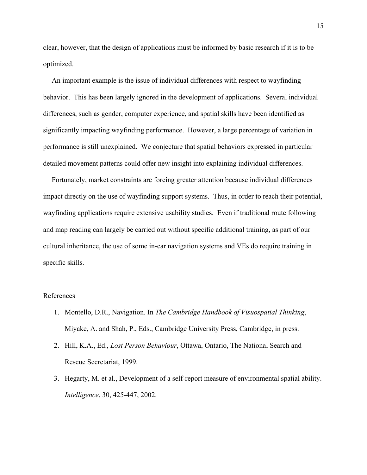clear, however, that the design of applications must be informed by basic research if it is to be optimized.

An important example is the issue of individual differences with respect to wayfinding behavior. This has been largely ignored in the development of applications. Several individual differences, such as gender, computer experience, and spatial skills have been identified as significantly impacting wayfinding performance. However, a large percentage of variation in performance is still unexplained. We conjecture that spatial behaviors expressed in particular detailed movement patterns could offer new insight into explaining individual differences.

Fortunately, market constraints are forcing greater attention because individual differences impact directly on the use of wayfinding support systems. Thus, in order to reach their potential, wayfinding applications require extensive usability studies. Even if traditional route following and map reading can largely be carried out without specific additional training, as part of our cultural inheritance, the use of some in-car navigation systems and VEs do require training in specific skills.

### References

- 1. Montello, D.R., Navigation. In The Cambridge Handbook of Visuospatial Thinking, Miyake, A. and Shah, P., Eds., Cambridge University Press, Cambridge, in press.
- 2. Hill, K.A., Ed., Lost Person Behaviour, Ottawa, Ontario, The National Search and Rescue Secretariat, 1999.
- 3. Hegarty, M. et al., Development of a self-report measure of environmental spatial ability. Intelligence, 30, 425-447, 2002.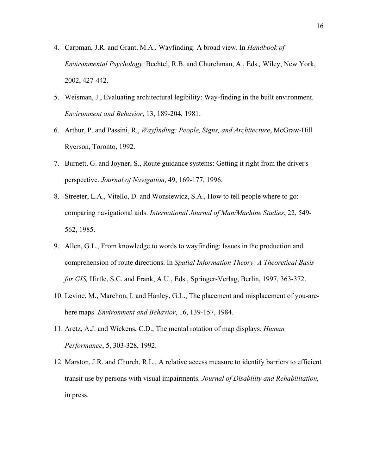- 4. Carpman, J.R. and Grant, M.A., Wayfinding: A broad view. In *Handbook of* Environmental Psychology, Bechtel, R.B. and Churchman, A., Eds., Wiley, New York, 2002, 427-442.
- 5. Weisman, J., Evaluating architectural legibility: Way-finding in the built environment. Environment and Behavior, 13, 189-204, 1981.
- 6. Arthur, P. and Passini, R., Wayfinding: People, Signs, and Architecture, McGraw-Hill Ryerson, Toronto, 1992.
- 7. Burnett, G. and Joyner, S., Route guidance systems: Getting it right from the driver's perspective. Journal of Navigation, 49, 169-177, 1996.
- 8. Streeter, L.A., Vitello, D. and Wonsiewicz, S.A., How to tell people where to go: comparing navigational aids. International Journal of Man/Machine Studies, 22, 549- 562, 1985.
- 9. Allen, G.L., From knowledge to words to wayfinding: Issues in the production and comprehension of route directions. In Spatial Information Theory: A Theoretical Basis for GIS, Hirtle, S.C. and Frank, A.U., Eds., Springer-Verlag, Berlin, 1997, 363-372.
- 10. Levine, M., Marchon, I. and Hanley, G.L., The placement and misplacement of you-arehere maps. *Environment and Behavior*, 16, 139-157, 1984.
- 11. Aretz, A.J. and Wickens, C.D., The mental rotation of map displays. Human Performance, 5, 303-328, 1992.
- 12. Marston, J.R. and Church, R.L., A relative access measure to identify barriers to efficient transit use by persons with visual impairments. Journal of Disability and Rehabilitation, in press.